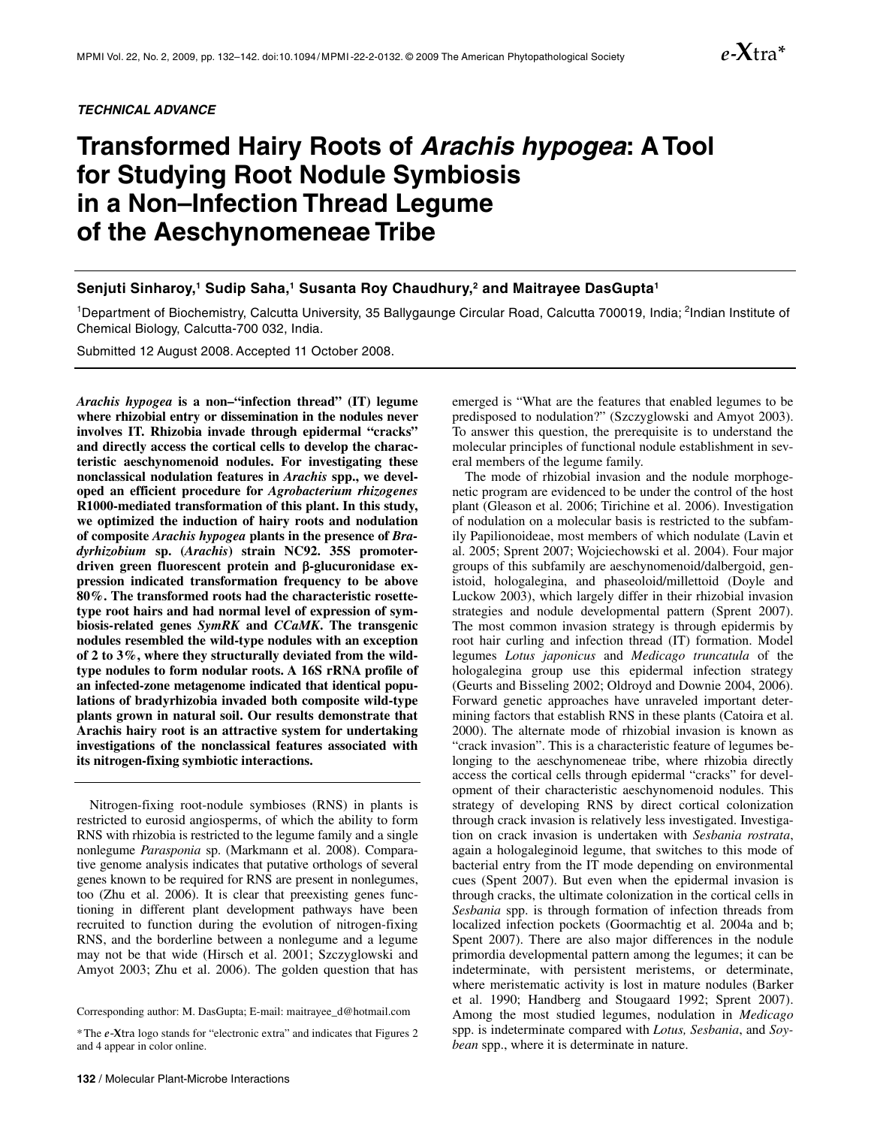*TECHNICAL ADVANCE* 

# **Transformed Hairy Roots of** *Arachis hypogea***: A Tool for Studying Root Nodule Symbiosis in a Non–Infection Thread Legume of the Aeschynomeneae Tribe**

# Senjuti Sinharoy,<sup>1</sup> Sudip Saha,<sup>1</sup> Susanta Roy Chaudhury,<sup>2</sup> and Maitrayee DasGupta<sup>1</sup>

<sup>1</sup>Department of Biochemistry, Calcutta University, 35 Ballygaunge Circular Road, Calcutta 700019, India; <sup>2</sup>Indian Institute of Chemical Biology, Calcutta-700 032, India.

Submitted 12 August 2008. Accepted 11 October 2008.

*Arachis hypogea* **is a non–"infection thread" (IT) legume where rhizobial entry or dissemination in the nodules never involves IT. Rhizobia invade through epidermal "cracks" and directly access the cortical cells to develop the characteristic aeschynomenoid nodules. For investigating these nonclassical nodulation features in** *Arachis* **spp., we developed an efficient procedure for** *Agrobacterium rhizogenes*  **R1000-mediated transformation of this plant. In this study, we optimized the induction of hairy roots and nodulation of composite** *Arachis hypogea* **plants in the presence of** *Bradyrhizobium* **sp. (***Arachis***) strain NC92. 35S promoterdriven green fluorescent protein and** β**-glucuronidase expression indicated transformation frequency to be above 80%. The transformed roots had the characteristic rosettetype root hairs and had normal level of expression of symbiosis-related genes** *SymRK* **and** *CCaMK***. The transgenic nodules resembled the wild-type nodules with an exception of 2 to 3%, where they structurally deviated from the wildtype nodules to form nodular roots. A 16S rRNA profile of an infected-zone metagenome indicated that identical populations of bradyrhizobia invaded both composite wild-type plants grown in natural soil. Our results demonstrate that Arachis hairy root is an attractive system for undertaking investigations of the nonclassical features associated with its nitrogen-fixing symbiotic interactions.** 

Nitrogen-fixing root-nodule symbioses (RNS) in plants is restricted to eurosid angiosperms, of which the ability to form RNS with rhizobia is restricted to the legume family and a single nonlegume *Parasponia* sp. (Markmann et al. 2008). Comparative genome analysis indicates that putative orthologs of several genes known to be required for RNS are present in nonlegumes, too (Zhu et al. 2006). It is clear that preexisting genes functioning in different plant development pathways have been recruited to function during the evolution of nitrogen-fixing RNS, and the borderline between a nonlegume and a legume may not be that wide (Hirsch et al. 2001; Szczyglowski and Amyot 2003; Zhu et al. 2006). The golden question that has

Corresponding author: M. DasGupta; E-mail: [maitrayee\\_d@hotmail.com](mailto:maitrayee_d@hotmail.com) 

emerged is "What are the features that enabled legumes to be predisposed to nodulation?" (Szczyglowski and Amyot 2003). To answer this question, the prerequisite is to understand the molecular principles of functional nodule establishment in several members of the legume family.

The mode of rhizobial invasion and the nodule morphogenetic program are evidenced to be under the control of the host plant (Gleason et al. 2006; Tirichine et al. 2006). Investigation of nodulation on a molecular basis is restricted to the subfamily Papilionoideae, most members of which nodulate (Lavin et al. 2005; Sprent 2007; Wojciechowski et al. 2004). Four major groups of this subfamily are aeschynomenoid/dalbergoid, genistoid, hologalegina, and phaseoloid/millettoid (Doyle and Luckow 2003), which largely differ in their rhizobial invasion strategies and nodule developmental pattern (Sprent 2007). The most common invasion strategy is through epidermis by root hair curling and infection thread (IT) formation. Model legumes *Lotus japonicus* and *Medicago truncatula* of the hologalegina group use this epidermal infection strategy (Geurts and Bisseling 2002; Oldroyd and Downie 2004, 2006). Forward genetic approaches have unraveled important determining factors that establish RNS in these plants (Catoira et al. 2000). The alternate mode of rhizobial invasion is known as "crack invasion". This is a characteristic feature of legumes belonging to the aeschynomeneae tribe, where rhizobia directly access the cortical cells through epidermal "cracks" for development of their characteristic aeschynomenoid nodules. This strategy of developing RNS by direct cortical colonization through crack invasion is relatively less investigated. Investigation on crack invasion is undertaken with *Sesbania rostrata*, again a hologaleginoid legume, that switches to this mode of bacterial entry from the IT mode depending on environmental cues (Spent 2007). But even when the epidermal invasion is through cracks, the ultimate colonization in the cortical cells in *Sesbania* spp. is through formation of infection threads from localized infection pockets (Goormachtig et al. 2004a and b; Spent 2007). There are also major differences in the nodule primordia developmental pattern among the legumes; it can be indeterminate, with persistent meristems, or determinate, where meristematic activity is lost in mature nodules (Barker et al. 1990; Handberg and Stougaard 1992; Sprent 2007). Among the most studied legumes, nodulation in *Medicago* spp. is indeterminate compared with *Lotus, Sesbania*, and *Soybean* spp., where it is determinate in nature.

*e***-X**tra**\***

<sup>\*</sup>The *e*-**X**tra logo stands for "electronic extra" and indicates that Figures 2 and 4 appear in color online.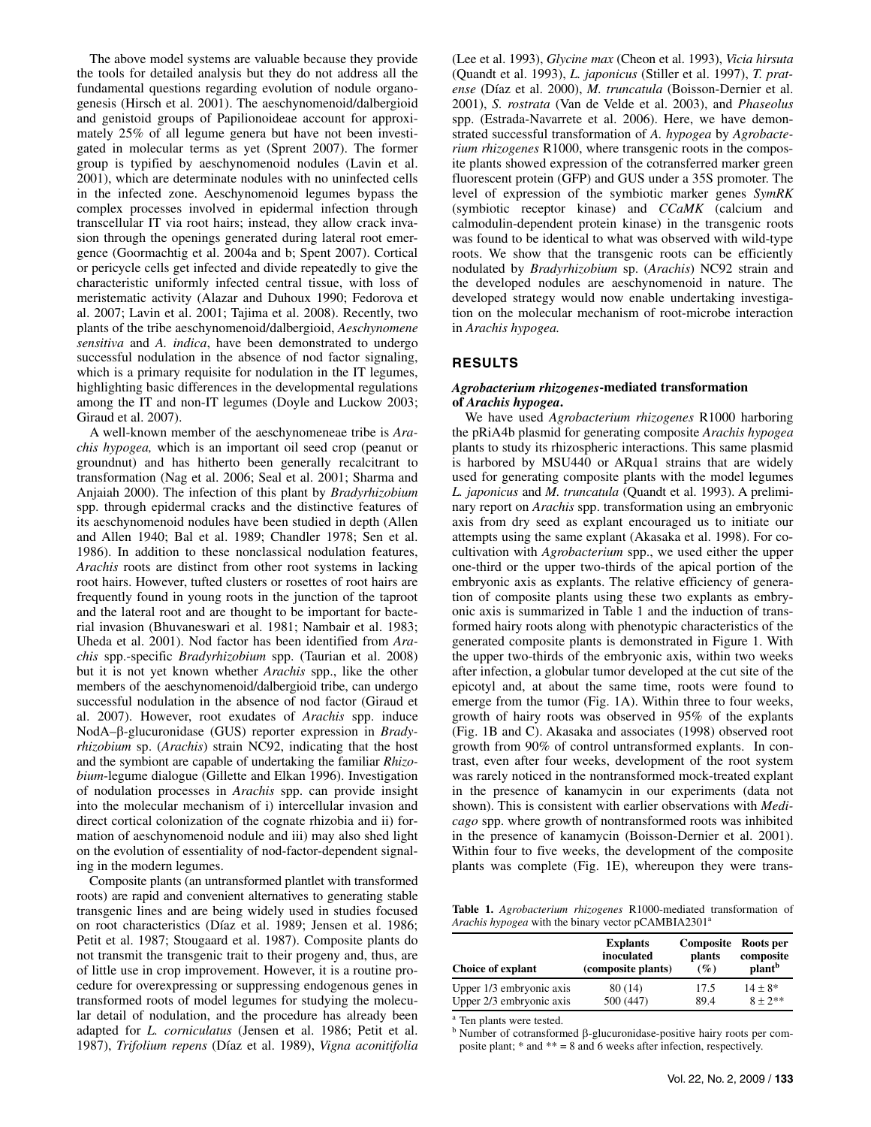The above model systems are valuable because they provide the tools for detailed analysis but they do not address all the fundamental questions regarding evolution of nodule organogenesis (Hirsch et al. 2001). The aeschynomenoid/dalbergioid and genistoid groups of Papilionoideae account for approximately 25% of all legume genera but have not been investigated in molecular terms as yet (Sprent 2007). The former group is typified by aeschynomenoid nodules (Lavin et al. 2001), which are determinate nodules with no uninfected cells in the infected zone. Aeschynomenoid legumes bypass the complex processes involved in epidermal infection through transcellular IT via root hairs; instead, they allow crack invasion through the openings generated during lateral root emergence (Goormachtig et al. 2004a and b; Spent 2007). Cortical or pericycle cells get infected and divide repeatedly to give the characteristic uniformly infected central tissue, with loss of meristematic activity (Alazar and Duhoux 1990; Fedorova et al. 2007; Lavin et al. 2001; Tajima et al. 2008). Recently, two plants of the tribe aeschynomenoid/dalbergioid, *Aeschynomene sensitiva* and *A. indica*, have been demonstrated to undergo successful nodulation in the absence of nod factor signaling, which is a primary requisite for nodulation in the IT legumes, highlighting basic differences in the developmental regulations among the IT and non-IT legumes (Doyle and Luckow 2003; Giraud et al. 2007).

A well-known member of the aeschynomeneae tribe is *Arachis hypogea,* which is an important oil seed crop (peanut or groundnut) and has hitherto been generally recalcitrant to transformation (Nag et al. 2006; Seal et al. 2001; Sharma and Anjaiah 2000). The infection of this plant by *Bradyrhizobium* spp. through epidermal cracks and the distinctive features of its aeschynomenoid nodules have been studied in depth (Allen and Allen 1940; Bal et al. 1989; Chandler 1978; Sen et al. 1986). In addition to these nonclassical nodulation features, *Arachis* roots are distinct from other root systems in lacking root hairs. However, tufted clusters or rosettes of root hairs are frequently found in young roots in the junction of the taproot and the lateral root and are thought to be important for bacterial invasion (Bhuvaneswari et al. 1981; Nambair et al. 1983; Uheda et al. 2001). Nod factor has been identified from *Arachis* spp.-specific *Bradyrhizobium* spp. (Taurian et al. 2008) but it is not yet known whether *Arachis* spp., like the other members of the aeschynomenoid/dalbergioid tribe, can undergo successful nodulation in the absence of nod factor (Giraud et al. 2007). However, root exudates of *Arachis* spp. induce NodA–β-glucuronidase (GUS) reporter expression in *Bradyrhizobium* sp. (*Arachis*) strain NC92, indicating that the host and the symbiont are capable of undertaking the familiar *Rhizobium*-legume dialogue (Gillette and Elkan 1996). Investigation of nodulation processes in *Arachis* spp. can provide insight into the molecular mechanism of i) intercellular invasion and direct cortical colonization of the cognate rhizobia and ii) formation of aeschynomenoid nodule and iii) may also shed light on the evolution of essentiality of nod-factor-dependent signaling in the modern legumes.

Composite plants (an untransformed plantlet with transformed roots) are rapid and convenient alternatives to generating stable transgenic lines and are being widely used in studies focused on root characteristics (Díaz et al. 1989; Jensen et al. 1986; Petit et al. 1987; Stougaard et al. 1987). Composite plants do not transmit the transgenic trait to their progeny and, thus, are of little use in crop improvement. However, it is a routine procedure for overexpressing or suppressing endogenous genes in transformed roots of model legumes for studying the molecular detail of nodulation, and the procedure has already been adapted for *L. corniculatus* (Jensen et al. 1986; Petit et al. 1987), *Trifolium repens* (Díaz et al. 1989), *Vigna aconitifolia*

(Lee et al. 1993), *Glycine max* (Cheon et al. 1993), *Vicia hirsuta*  (Quandt et al. 1993), *L. japonicus* (Stiller et al. 1997), *T. pratense* (Díaz et al. 2000), *M. truncatula* (Boisson-Dernier et al. 2001), *S. rostrata* (Van de Velde et al. 2003), and *Phaseolus*  spp. (Estrada-Navarrete et al. 2006). Here, we have demonstrated successful transformation of *A. hypogea* by *Agrobacterium rhizogenes* R1000, where transgenic roots in the composite plants showed expression of the cotransferred marker green fluorescent protein (GFP) and GUS under a 35S promoter. The level of expression of the symbiotic marker genes *SymRK*  (symbiotic receptor kinase) and *CCaMK* (calcium and calmodulin-dependent protein kinase) in the transgenic roots was found to be identical to what was observed with wild-type roots. We show that the transgenic roots can be efficiently nodulated by *Bradyrhizobium* sp. (*Arachis*) NC92 strain and the developed nodules are aeschynomenoid in nature. The developed strategy would now enable undertaking investigation on the molecular mechanism of root-microbe interaction in *Arachis hypogea.*

# **RESULTS**

## *Agrobacterium rhizogenes***-mediated transformation of** *Arachis hypogea***.**

We have used *Agrobacterium rhizogenes* R1000 harboring the pRiA4b plasmid for generating composite *Arachis hypogea* plants to study its rhizospheric interactions. This same plasmid is harbored by MSU440 or ARqua1 strains that are widely used for generating composite plants with the model legumes *L. japonicus* and *M. truncatula* (Quandt et al. 1993). A preliminary report on *Arachis* spp. transformation using an embryonic axis from dry seed as explant encouraged us to initiate our attempts using the same explant (Akasaka et al. 1998). For cocultivation with *Agrobacterium* spp., we used either the upper one-third or the upper two-thirds of the apical portion of the embryonic axis as explants. The relative efficiency of generation of composite plants using these two explants as embryonic axis is summarized in Table 1 and the induction of transformed hairy roots along with phenotypic characteristics of the generated composite plants is demonstrated in Figure 1. With the upper two-thirds of the embryonic axis, within two weeks after infection, a globular tumor developed at the cut site of the epicotyl and, at about the same time, roots were found to emerge from the tumor (Fig. 1A). Within three to four weeks, growth of hairy roots was observed in 95% of the explants (Fig. 1B and C). Akasaka and associates (1998) observed root growth from 90% of control untransformed explants. In contrast, even after four weeks, development of the root system was rarely noticed in the nontransformed mock-treated explant in the presence of kanamycin in our experiments (data not shown). This is consistent with earlier observations with *Medicago* spp. where growth of nontransformed roots was inhibited in the presence of kanamycin (Boisson-Dernier et al. 2001). Within four to five weeks, the development of the composite plants was complete (Fig. 1E), whereupon they were trans-

**Table 1.** *Agrobacterium rhizogenes* R1000-mediated transformation of *Arachis hypogea* with the binary vector pCAMBIA2301<sup>a</sup>

| <b>Choice of explant</b> | <b>Explants</b>    | Composite | Roots per          |
|--------------------------|--------------------|-----------|--------------------|
|                          | inoculated         | plants    | composite          |
|                          | (composite plants) | $($ %)    | plant <sup>b</sup> |
| Upper 1/3 embryonic axis | 80 (14)            | 17.5      | $14 + 8*$          |
| Upper 2/3 embryonic axis | 500 (447)          | 89.4      | $8 + 2**$          |

<sup>a</sup> Ten plants were tested.

<sup>b</sup> Number of cotransformed β-glucuronidase-positive hairy roots per composite plant; \* and \*\* = 8 and 6 weeks after infection, respectively.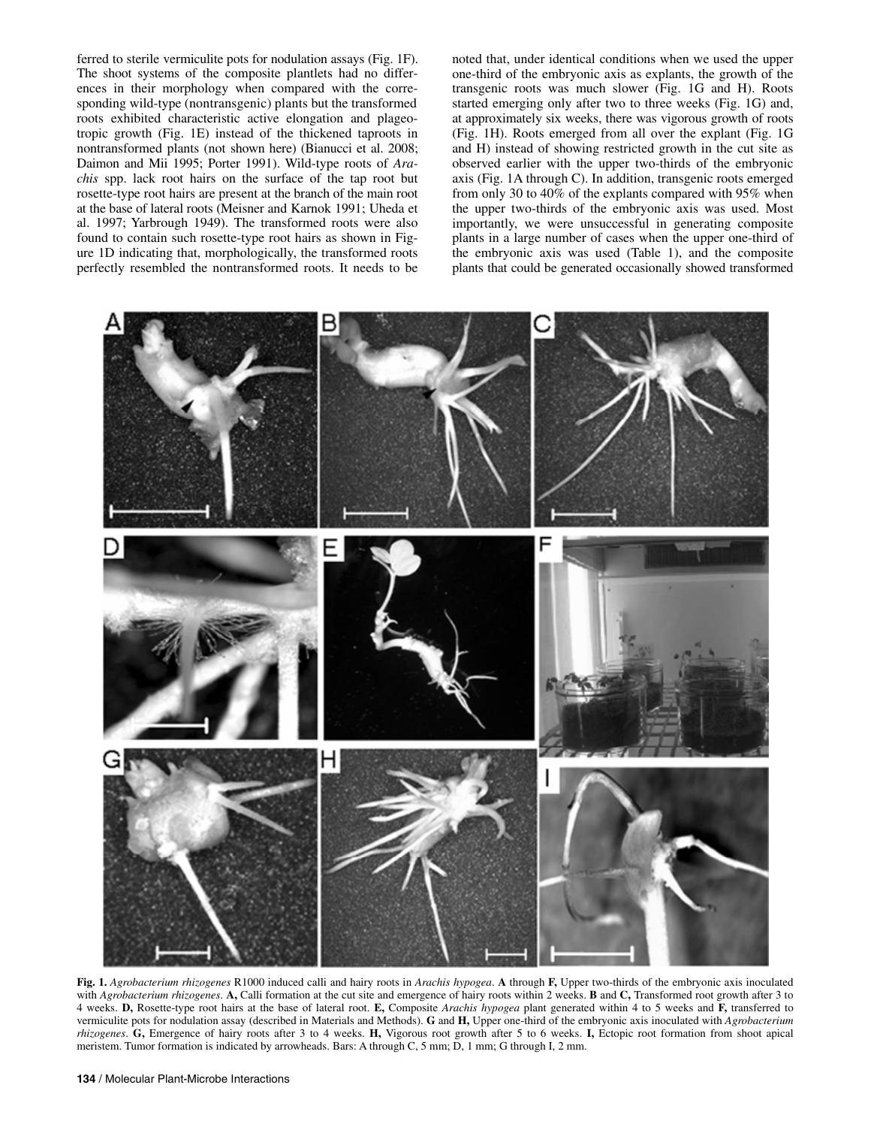ferred to sterile vermiculite pots for nodulation assays (Fig. 1F). The shoot systems of the composite plantlets had no differences in their morphology when compared with the corresponding wild-type (nontransgenic) plants but the transformed roots exhibited characteristic active elongation and plageotropic growth (Fig. 1E) instead of the thickened taproots in nontransformed plants (not shown here) (Bianucci et al. 2008; Daimon and Mii 1995; Porter 1991). Wild-type roots of *Arachis* spp. lack root hairs on the surface of the tap root but rosette-type root hairs are present at the branch of the main root at the base of lateral roots (Meisner and Karnok 1991; Uheda et al. 1997; Yarbrough 1949). The transformed roots were also found to contain such rosette-type root hairs as shown in Figure 1D indicating that, morphologically, the transformed roots perfectly resembled the nontransformed roots. It needs to be

noted that, under identical conditions when we used the upper one-third of the embryonic axis as explants, the growth of the transgenic roots was much slower (Fig. 1G and H). Roots started emerging only after two to three weeks (Fig. 1G) and, at approximately six weeks, there was vigorous growth of roots (Fig. 1H). Roots emerged from all over the explant (Fig. 1G and H) instead of showing restricted growth in the cut site as observed earlier with the upper two-thirds of the embryonic axis (Fig. 1A through C). In addition, transgenic roots emerged from only 30 to 40% of the explants compared with 95% when the upper two-thirds of the embryonic axis was used. Most importantly, we were unsuccessful in generating composite plants in a large number of cases when the upper one-third of the embryonic axis was used (Table 1), and the composite plants that could be generated occasionally showed transformed



**Fig. 1.** *Agrobacterium rhizogenes* R1000 induced calli and hairy roots in *Arachis hypogea*. **A** through **F,** Upper two-thirds of the embryonic axis inoculated with *Agrobacterium rhizogenes*. **A,** Calli formation at the cut site and emergence of hairy roots within 2 weeks. **B** and **C,** Transformed root growth after 3 to 4 weeks. **D,** Rosette-type root hairs at the base of lateral root. **E,** Composite *Arachis hypogea* plant generated within 4 to 5 weeks and **F,** transferred to vermiculite pots for nodulation assay (described in Materials and Methods). **G** and **H,** Upper one-third of the embryonic axis inoculated with *Agrobacterium rhizogenes*. **G,** Emergence of hairy roots after 3 to 4 weeks. **H,** Vigorous root growth after 5 to 6 weeks. **I,** Ectopic root formation from shoot apical meristem. Tumor formation is indicated by arrowheads. Bars: A through C, 5 mm; D, 1 mm; G through I, 2 mm.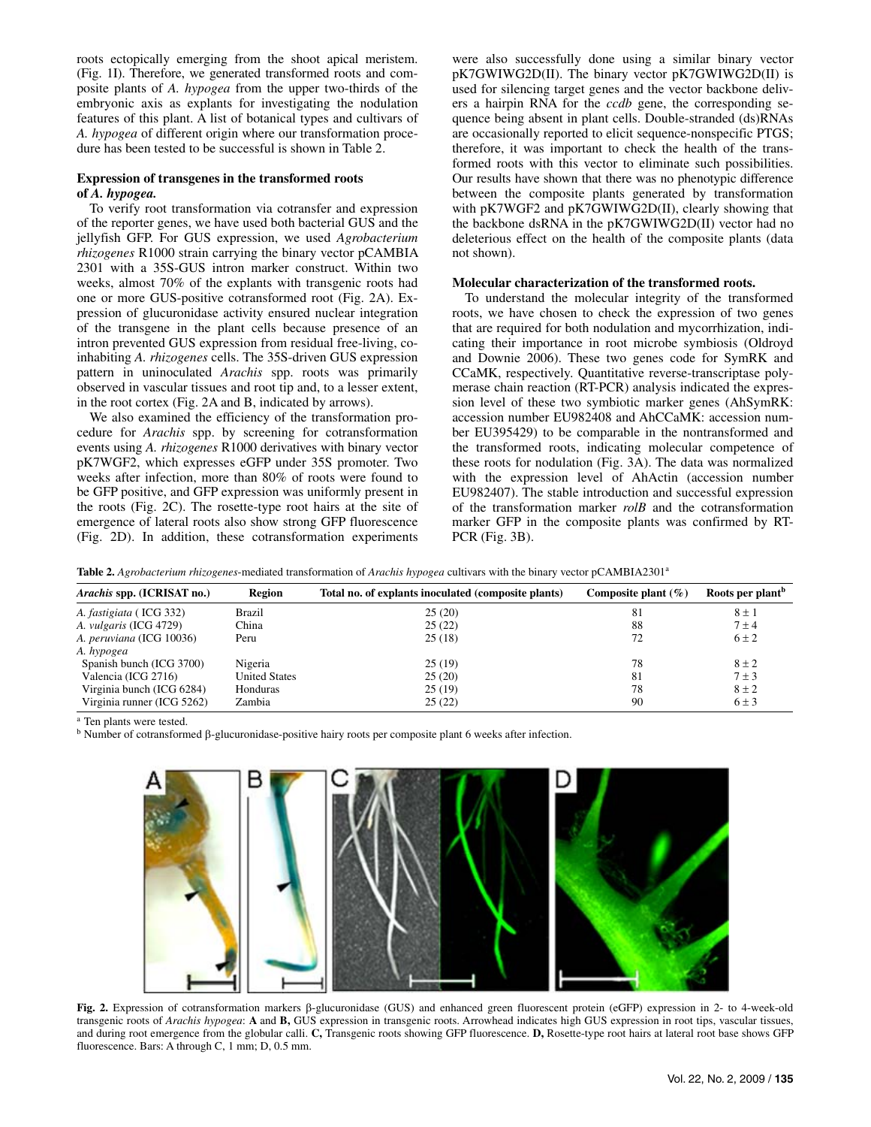roots ectopically emerging from the shoot apical meristem. (Fig. 1I). Therefore, we generated transformed roots and composite plants of *A. hypogea* from the upper two-thirds of the embryonic axis as explants for investigating the nodulation features of this plant. A list of botanical types and cultivars of *A. hypogea* of different origin where our transformation procedure has been tested to be successful is shown in Table 2.

## **Expression of transgenes in the transformed roots of** *A. hypogea.*

To verify root transformation via cotransfer and expression of the reporter genes, we have used both bacterial GUS and the jellyfish GFP. For GUS expression, we used *Agrobacterium rhizogenes* R1000 strain carrying the binary vector pCAMBIA 2301 with a 35S-GUS intron marker construct. Within two weeks, almost 70% of the explants with transgenic roots had one or more GUS-positive cotransformed root (Fig. 2A). Expression of glucuronidase activity ensured nuclear integration of the transgene in the plant cells because presence of an intron prevented GUS expression from residual free-living, coinhabiting *A. rhizogenes* cells. The 35S-driven GUS expression pattern in uninoculated *Arachis* spp. roots was primarily observed in vascular tissues and root tip and, to a lesser extent, in the root cortex (Fig. 2A and B, indicated by arrows).

We also examined the efficiency of the transformation procedure for *Arachis* spp. by screening for cotransformation events using *A. rhizogenes* R1000 derivatives with binary vector pK7WGF2, which expresses eGFP under 35S promoter. Two weeks after infection, more than 80% of roots were found to be GFP positive, and GFP expression was uniformly present in the roots (Fig. 2C). The rosette-type root hairs at the site of emergence of lateral roots also show strong GFP fluorescence (Fig. 2D). In addition, these cotransformation experiments

were also successfully done using a similar binary vector pK7GWIWG2D(II). The binary vector pK7GWIWG2D(II) is used for silencing target genes and the vector backbone delivers a hairpin RNA for the *ccdb* gene, the corresponding sequence being absent in plant cells. Double-stranded (ds)RNAs are occasionally reported to elicit sequence-nonspecific PTGS; therefore, it was important to check the health of the transformed roots with this vector to eliminate such possibilities. Our results have shown that there was no phenotypic difference between the composite plants generated by transformation with pK7WGF2 and pK7GWIWG2D(II), clearly showing that the backbone dsRNA in the pK7GWIWG2D(II) vector had no deleterious effect on the health of the composite plants (data not shown).

## **Molecular characterization of the transformed roots.**

To understand the molecular integrity of the transformed roots, we have chosen to check the expression of two genes that are required for both nodulation and mycorrhization, indicating their importance in root microbe symbiosis (Oldroyd and Downie 2006). These two genes code for SymRK and CCaMK, respectively. Quantitative reverse-transcriptase polymerase chain reaction (RT-PCR) analysis indicated the expression level of these two symbiotic marker genes (AhSymRK: accession number EU982408 and AhCCaMK: accession number EU395429) to be comparable in the nontransformed and the transformed roots, indicating molecular competence of these roots for nodulation (Fig. 3A). The data was normalized with the expression level of AhActin (accession number EU982407). The stable introduction and successful expression of the transformation marker *rolB* and the cotransformation marker GFP in the composite plants was confirmed by RT-PCR (Fig. 3B).

| Table 2. Agrobacterium rhizogenes-mediated transformation of Arachis hypogea cultivars with the binary vector pCAMBIA2301 <sup>a</sup> |  |  |
|----------------------------------------------------------------------------------------------------------------------------------------|--|--|
|----------------------------------------------------------------------------------------------------------------------------------------|--|--|

| <i>Arachis spp.</i> (ICRISAT no.) | Region               | Total no. of explants inoculated (composite plants) | Composite plant $(\%)$ | Roots per plant <sup>b</sup> |
|-----------------------------------|----------------------|-----------------------------------------------------|------------------------|------------------------------|
| A. fastigiata (ICG 332)           | Brazil               | 25(20)                                              | 81                     | $8 \pm 1$                    |
| A. <i>vulgaris</i> (ICG 4729)     | China                | 25(22)                                              | 88                     | $7 \pm 4$                    |
| A. peruviana (ICG 10036)          | Peru                 | 25(18)                                              | 72                     | $6 \pm 2$                    |
| A. hypogea                        |                      |                                                     |                        |                              |
| Spanish bunch (ICG 3700)          | Nigeria              | 25(19)                                              | 78                     | $8 \pm 2$                    |
| Valencia (ICG 2716)               | <b>United States</b> | 25(20)                                              | 81                     | $7 \pm 3$                    |
| Virginia bunch (ICG 6284)         | Honduras             | 25(19)                                              | 78                     | $8 \pm 2$                    |
| Virginia runner (ICG 5262)        | Zambia               | 25(22)                                              | 90                     | $6 \pm 3$                    |

a Ten plants were tested.

b Number of cotransformed β-glucuronidase-positive hairy roots per composite plant 6 weeks after infection.



**Fig. 2.** Expression of cotransformation markers β-glucuronidase (GUS) and enhanced green fluorescent protein (eGFP) expression in 2- to 4-week-old transgenic roots of *Arachis hypogea*: **A** and **B,** GUS expression in transgenic roots. Arrowhead indicates high GUS expression in root tips, vascular tissues, and during root emergence from the globular calli. **C,** Transgenic roots showing GFP fluorescence. **D,** Rosette-type root hairs at lateral root base shows GFP fluorescence. Bars: A through C, 1 mm; D, 0.5 mm.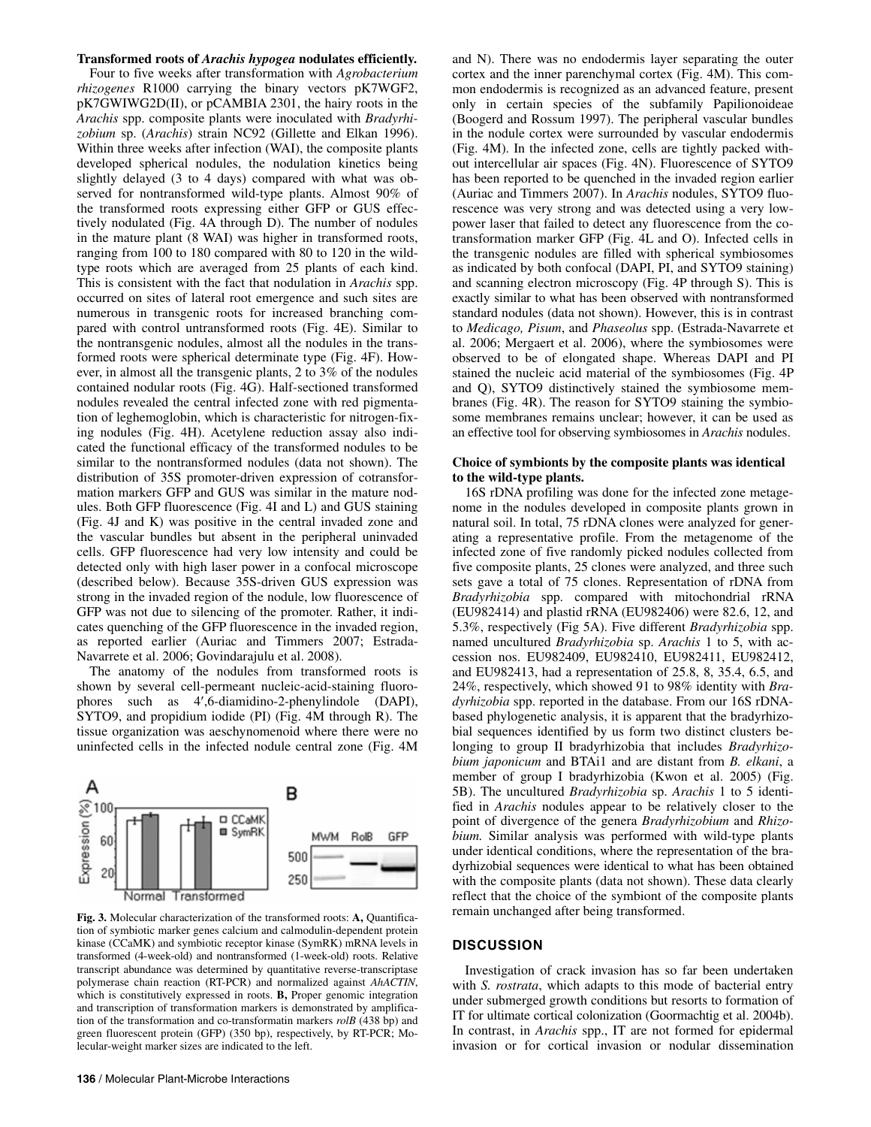#### **Transformed roots of** *Arachis hypogea* **nodulates efficiently.**

Four to five weeks after transformation with *Agrobacterium rhizogenes* R1000 carrying the binary vectors pK7WGF2, pK7GWIWG2D(II), or pCAMBIA 2301, the hairy roots in the *Arachis* spp. composite plants were inoculated with *Bradyrhizobium* sp. (*Arachis*) strain NC92 (Gillette and Elkan 1996). Within three weeks after infection (WAI), the composite plants developed spherical nodules, the nodulation kinetics being slightly delayed (3 to 4 days) compared with what was observed for nontransformed wild-type plants. Almost 90% of the transformed roots expressing either GFP or GUS effectively nodulated (Fig. 4A through D). The number of nodules in the mature plant (8 WAI) was higher in transformed roots, ranging from 100 to 180 compared with 80 to 120 in the wildtype roots which are averaged from 25 plants of each kind. This is consistent with the fact that nodulation in *Arachis* spp. occurred on sites of lateral root emergence and such sites are numerous in transgenic roots for increased branching compared with control untransformed roots (Fig. 4E). Similar to the nontransgenic nodules, almost all the nodules in the transformed roots were spherical determinate type (Fig. 4F). However, in almost all the transgenic plants, 2 to 3% of the nodules contained nodular roots (Fig. 4G). Half-sectioned transformed nodules revealed the central infected zone with red pigmentation of leghemoglobin, which is characteristic for nitrogen-fixing nodules (Fig. 4H). Acetylene reduction assay also indicated the functional efficacy of the transformed nodules to be similar to the nontransformed nodules (data not shown). The distribution of 35S promoter-driven expression of cotransformation markers GFP and GUS was similar in the mature nodules. Both GFP fluorescence (Fig. 4I and L) and GUS staining (Fig. 4J and K) was positive in the central invaded zone and the vascular bundles but absent in the peripheral uninvaded cells. GFP fluorescence had very low intensity and could be detected only with high laser power in a confocal microscope (described below). Because 35S-driven GUS expression was strong in the invaded region of the nodule, low fluorescence of GFP was not due to silencing of the promoter. Rather, it indicates quenching of the GFP fluorescence in the invaded region, as reported earlier (Auriac and Timmers 2007; Estrada-Navarrete et al. 2006; Govindarajulu et al. 2008).

The anatomy of the nodules from transformed roots is shown by several cell-permeant nucleic-acid-staining fluorophores such as 4′,6-diamidino-2-phenylindole (DAPI), SYTO9, and propidium iodide (PI) (Fig. 4M through R). The tissue organization was aeschynomenoid where there were no uninfected cells in the infected nodule central zone (Fig. 4M



**Fig. 3.** Molecular characterization of the transformed roots: **A,** Quantification of symbiotic marker genes calcium and calmodulin-dependent protein kinase (CCaMK) and symbiotic receptor kinase (SymRK) mRNA levels in transformed (4-week-old) and nontransformed (1-week-old) roots. Relative transcript abundance was determined by quantitative reverse-transcriptase polymerase chain reaction (RT-PCR) and normalized against *AhACTIN*, which is constitutively expressed in roots. **B,** Proper genomic integration and transcription of transformation markers is demonstrated by amplification of the transformation and co-transformatin markers *rolB* (438 bp) and green fluorescent protein (GFP) (350 bp), respectively, by RT-PCR; Molecular-weight marker sizes are indicated to the left.

and N). There was no endodermis layer separating the outer cortex and the inner parenchymal cortex (Fig. 4M). This common endodermis is recognized as an advanced feature, present only in certain species of the subfamily Papilionoideae (Boogerd and Rossum 1997). The peripheral vascular bundles in the nodule cortex were surrounded by vascular endodermis (Fig. 4M). In the infected zone, cells are tightly packed without intercellular air spaces (Fig. 4N). Fluorescence of SYTO9 has been reported to be quenched in the invaded region earlier (Auriac and Timmers 2007). In *Arachis* nodules, SYTO9 fluorescence was very strong and was detected using a very lowpower laser that failed to detect any fluorescence from the cotransformation marker GFP (Fig. 4L and O). Infected cells in the transgenic nodules are filled with spherical symbiosomes as indicated by both confocal (DAPI, PI, and SYTO9 staining) and scanning electron microscopy (Fig. 4P through S). This is exactly similar to what has been observed with nontransformed standard nodules (data not shown). However, this is in contrast to *Medicago, Pisum*, and *Phaseolus* spp. (Estrada-Navarrete et al. 2006; Mergaert et al. 2006), where the symbiosomes were observed to be of elongated shape. Whereas DAPI and PI stained the nucleic acid material of the symbiosomes (Fig. 4P and Q), SYTO9 distinctively stained the symbiosome membranes (Fig. 4R). The reason for SYTO9 staining the symbiosome membranes remains unclear; however, it can be used as an effective tool for observing symbiosomes in *Arachis* nodules.

## **Choice of symbionts by the composite plants was identical to the wild-type plants.**

16S rDNA profiling was done for the infected zone metagenome in the nodules developed in composite plants grown in natural soil. In total, 75 rDNA clones were analyzed for generating a representative profile. From the metagenome of the infected zone of five randomly picked nodules collected from five composite plants, 25 clones were analyzed, and three such sets gave a total of 75 clones. Representation of rDNA from *Bradyrhizobia* spp. compared with mitochondrial rRNA (EU982414) and plastid rRNA (EU982406) were 82.6, 12, and 5.3%, respectively (Fig 5A). Five different *Bradyrhizobia* spp. named uncultured *Bradyrhizobia* sp. *Arachis* 1 to 5, with accession nos. EU982409, EU982410, EU982411, EU982412, and EU982413, had a representation of 25.8, 8, 35.4, 6.5, and 24%, respectively, which showed 91 to 98% identity with *Bradyrhizobia* spp. reported in the database. From our 16S rDNAbased phylogenetic analysis, it is apparent that the bradyrhizobial sequences identified by us form two distinct clusters belonging to group II bradyrhizobia that includes *Bradyrhizobium japonicum* and BTAi1 and are distant from *B. elkani*, a member of group I bradyrhizobia (Kwon et al. 2005) (Fig. 5B). The uncultured *Bradyrhizobia* sp. *Arachis* 1 to 5 identified in *Arachis* nodules appear to be relatively closer to the point of divergence of the genera *Bradyrhizobium* and *Rhizobium.* Similar analysis was performed with wild-type plants under identical conditions, where the representation of the bradyrhizobial sequences were identical to what has been obtained with the composite plants (data not shown). These data clearly reflect that the choice of the symbiont of the composite plants remain unchanged after being transformed.

## **DISCUSSION**

Investigation of crack invasion has so far been undertaken with *S. rostrata*, which adapts to this mode of bacterial entry under submerged growth conditions but resorts to formation of IT for ultimate cortical colonization (Goormachtig et al. 2004b). In contrast, in *Arachis* spp., IT are not formed for epidermal invasion or for cortical invasion or nodular dissemination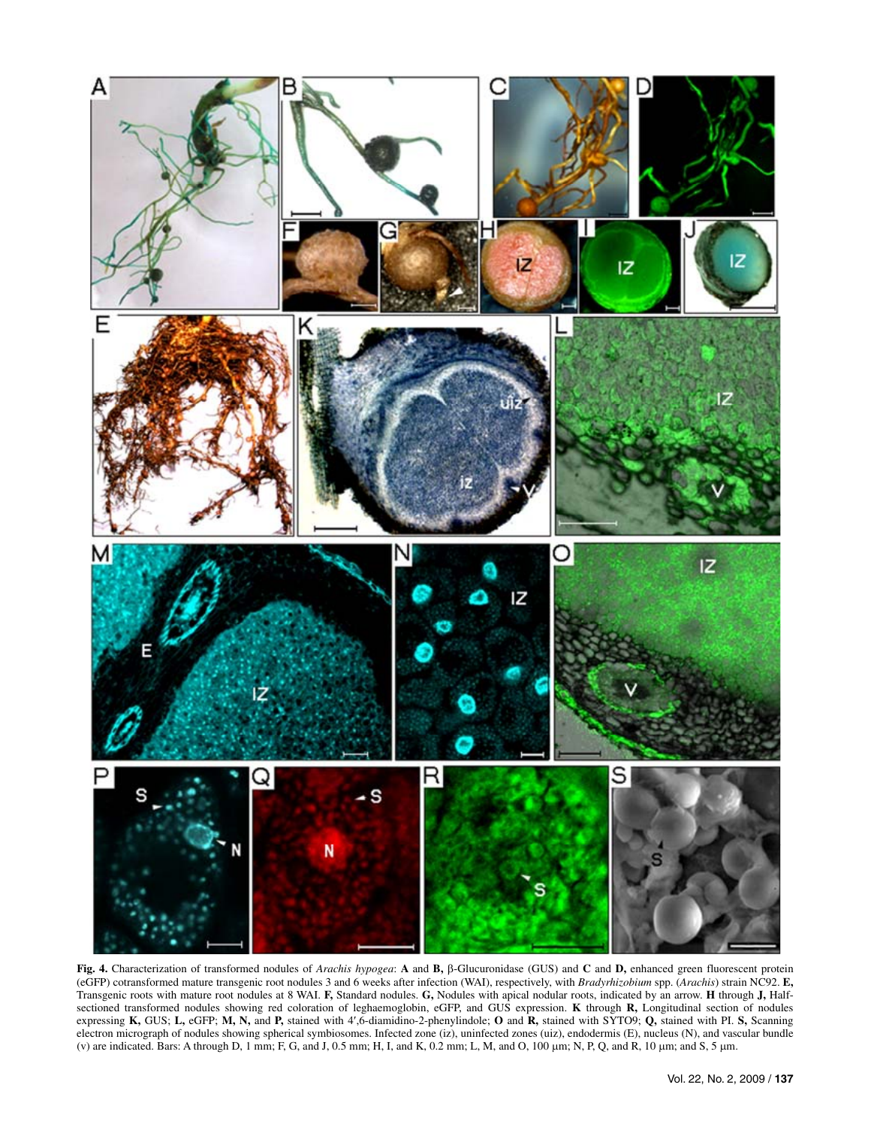

**Fig. 4.** Characterization of transformed nodules of *Arachis hypogea*: **A** and **B,** β-Glucuronidase (GUS) and **C** and **D,** enhanced green fluorescent protein (eGFP) cotransformed mature transgenic root nodules 3 and 6 weeks after infection (WAI), respectively, with *Bradyrhizobium* spp. (*Arachis*) strain NC92. **E,**  Transgenic roots with mature root nodules at 8 WAI. **F,** Standard nodules. **G,** Nodules with apical nodular roots, indicated by an arrow. **H** through **J,** Halfsectioned transformed nodules showing red coloration of leghaemoglobin, eGFP, and GUS expression. **K** through **R,** Longitudinal section of nodules expressing **K,** GUS; **L,** eGFP; **M, N,** and **P,** stained with 4′,6-diamidino-2-phenylindole; **O** and **R,** stained with SYTO9; **Q,** stained with PI. **S,** Scanning electron micrograph of nodules showing spherical symbiosomes. Infected zone (iz), uninfected zones (uiz), endodermis (E), nucleus (N), and vascular bundle (v) are indicated. Bars: A through D, 1 mm; F, G, and J, 0.5 mm; H, I, and K, 0.2 mm; L, M, and O, 100 μm; N, P, Q, and R, 10 μm; and S, 5 μm.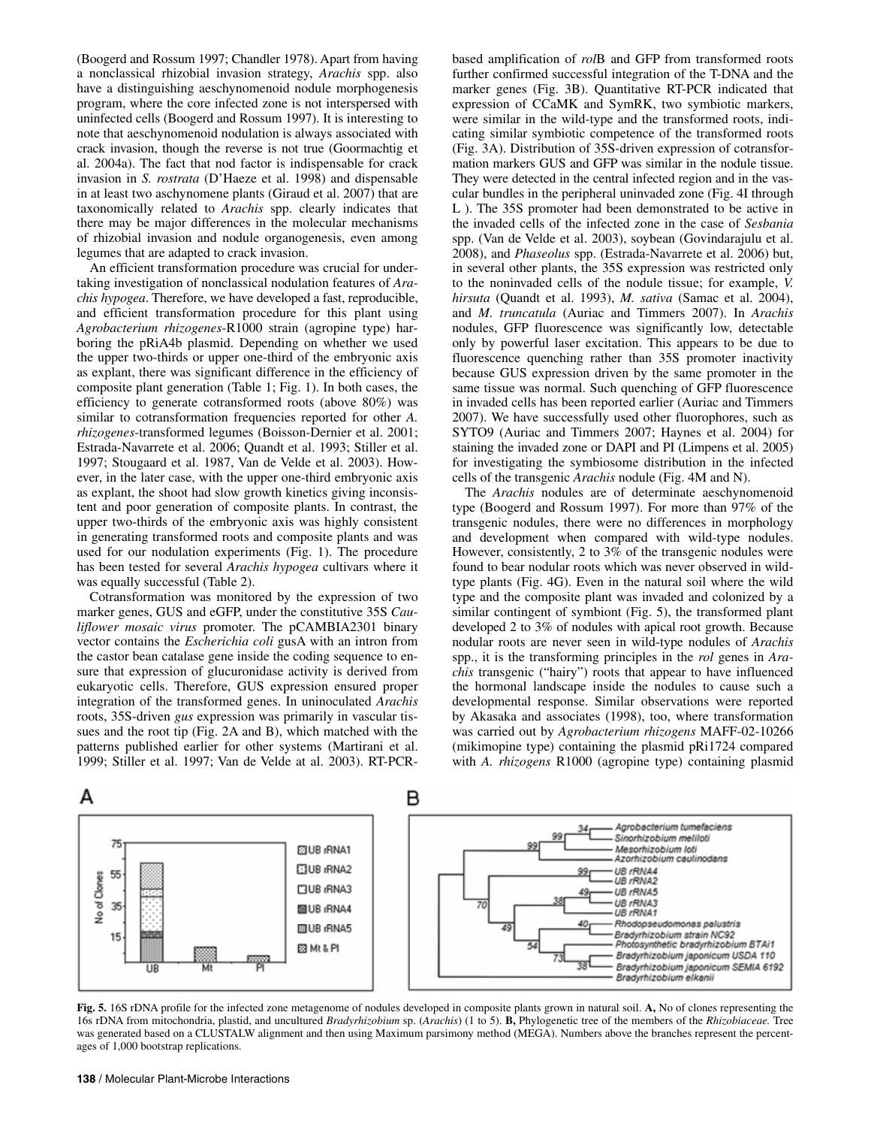(Boogerd and Rossum 1997; Chandler 1978). Apart from having a nonclassical rhizobial invasion strategy, *Arachis* spp. also have a distinguishing aeschynomenoid nodule morphogenesis program, where the core infected zone is not interspersed with uninfected cells (Boogerd and Rossum 1997). It is interesting to note that aeschynomenoid nodulation is always associated with crack invasion, though the reverse is not true (Goormachtig et al. 2004a). The fact that nod factor is indispensable for crack invasion in *S. rostrata* (D'Haeze et al. 1998) and dispensable in at least two aschynomene plants (Giraud et al. 2007) that are taxonomically related to *Arachis* spp. clearly indicates that there may be major differences in the molecular mechanisms of rhizobial invasion and nodule organogenesis, even among legumes that are adapted to crack invasion.

An efficient transformation procedure was crucial for undertaking investigation of nonclassical nodulation features of *Arachis hypogea*. Therefore, we have developed a fast, reproducible, and efficient transformation procedure for this plant using *Agrobacterium rhizogenes*-R1000 strain (agropine type) harboring the pRiA4b plasmid. Depending on whether we used the upper two-thirds or upper one-third of the embryonic axis as explant, there was significant difference in the efficiency of composite plant generation (Table 1; Fig. 1). In both cases, the efficiency to generate cotransformed roots (above 80%) was similar to cotransformation frequencies reported for other *A. rhizogenes*-transformed legumes (Boisson-Dernier et al. 2001; Estrada-Navarrete et al. 2006; Quandt et al. 1993; Stiller et al. 1997; Stougaard et al. 1987, Van de Velde et al. 2003). However, in the later case, with the upper one-third embryonic axis as explant, the shoot had slow growth kinetics giving inconsistent and poor generation of composite plants. In contrast, the upper two-thirds of the embryonic axis was highly consistent in generating transformed roots and composite plants and was used for our nodulation experiments (Fig. 1). The procedure has been tested for several *Arachis hypogea* cultivars where it was equally successful (Table 2).

Cotransformation was monitored by the expression of two marker genes, GUS and eGFP, under the constitutive 35S *Cauliflower mosaic virus* promoter. The pCAMBIA2301 binary vector contains the *Escherichia coli* gusA with an intron from the castor bean catalase gene inside the coding sequence to ensure that expression of glucuronidase activity is derived from eukaryotic cells. Therefore, GUS expression ensured proper integration of the transformed genes. In uninoculated *Arachis*  roots, 35S-driven *gus* expression was primarily in vascular tissues and the root tip (Fig. 2A and B), which matched with the patterns published earlier for other systems (Martirani et al. 1999; Stiller et al. 1997; Van de Velde at al. 2003). RT-PCR-

based amplification of *rol*B and GFP from transformed roots further confirmed successful integration of the T-DNA and the marker genes (Fig. 3B). Quantitative RT-PCR indicated that expression of CCaMK and SymRK, two symbiotic markers, were similar in the wild-type and the transformed roots, indicating similar symbiotic competence of the transformed roots (Fig. 3A). Distribution of 35S-driven expression of cotransformation markers GUS and GFP was similar in the nodule tissue. They were detected in the central infected region and in the vascular bundles in the peripheral uninvaded zone (Fig. 4I through L ). The 35S promoter had been demonstrated to be active in the invaded cells of the infected zone in the case of *Sesbania* spp. (Van de Velde et al. 2003), soybean (Govindarajulu et al. 2008), and *Phaseolus* spp. (Estrada-Navarrete et al. 2006) but, in several other plants, the 35S expression was restricted only to the noninvaded cells of the nodule tissue; for example, *V. hirsuta* (Quandt et al. 1993), *M. sativa* (Samac et al. 2004), and *M. truncatula* (Auriac and Timmers 2007). In *Arachis* nodules, GFP fluorescence was significantly low, detectable only by powerful laser excitation. This appears to be due to fluorescence quenching rather than 35S promoter inactivity because GUS expression driven by the same promoter in the same tissue was normal. Such quenching of GFP fluorescence in invaded cells has been reported earlier (Auriac and Timmers 2007). We have successfully used other fluorophores, such as SYTO9 (Auriac and Timmers 2007; Haynes et al. 2004) for staining the invaded zone or DAPI and PI (Limpens et al. 2005) for investigating the symbiosome distribution in the infected cells of the transgenic *Arachis* nodule (Fig. 4M and N).

The *Arachis* nodules are of determinate aeschynomenoid type (Boogerd and Rossum 1997). For more than 97% of the transgenic nodules, there were no differences in morphology and development when compared with wild-type nodules. However, consistently, 2 to 3% of the transgenic nodules were found to bear nodular roots which was never observed in wildtype plants (Fig. 4G). Even in the natural soil where the wild type and the composite plant was invaded and colonized by a similar contingent of symbiont (Fig. 5), the transformed plant developed 2 to 3% of nodules with apical root growth. Because nodular roots are never seen in wild-type nodules of *Arachis* spp., it is the transforming principles in the *rol* genes in *Arachis* transgenic ("hairy") roots that appear to have influenced the hormonal landscape inside the nodules to cause such a developmental response. Similar observations were reported by Akasaka and associates (1998), too, where transformation was carried out by *Agrobacterium rhizogens* MAFF-02-10266 (mikimopine type) containing the plasmid pRi1724 compared with *A. rhizogens* R1000 (agropine type) containing plasmid



**Fig. 5.** 16S rDNA profile for the infected zone metagenome of nodules developed in composite plants grown in natural soil. **A,** No of clones representing the 16s rDNA from mitochondria, plastid, and uncultured *Bradyrhizobium* sp. (*Arachis*) (1 to 5). **B,** Phylogenetic tree of the members of the *Rhizobiaceae.* Tree was generated based on a CLUSTALW alignment and then using Maximum parsimony method (MEGA). Numbers above the branches represent the percentages of 1,000 bootstrap replications.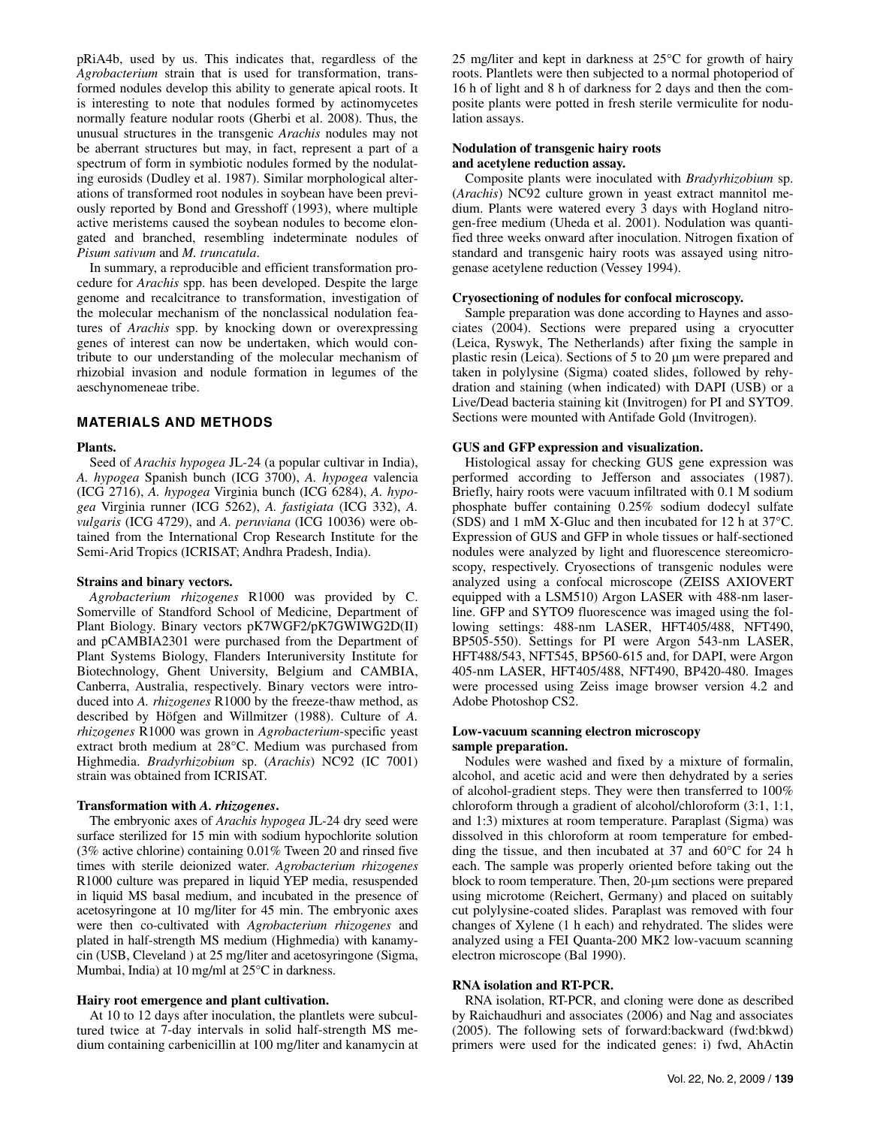pRiA4b, used by us. This indicates that, regardless of the *Agrobacterium* strain that is used for transformation, transformed nodules develop this ability to generate apical roots. It is interesting to note that nodules formed by actinomycetes normally feature nodular roots (Gherbi et al. 2008). Thus, the unusual structures in the transgenic *Arachis* nodules may not be aberrant structures but may, in fact, represent a part of a spectrum of form in symbiotic nodules formed by the nodulating eurosids (Dudley et al. 1987). Similar morphological alterations of transformed root nodules in soybean have been previously reported by Bond and Gresshoff (1993), where multiple active meristems caused the soybean nodules to become elongated and branched, resembling indeterminate nodules of *Pisum sativum* and *M. truncatula*.

In summary, a reproducible and efficient transformation procedure for *Arachis* spp. has been developed. Despite the large genome and recalcitrance to transformation, investigation of the molecular mechanism of the nonclassical nodulation features of *Arachis* spp. by knocking down or overexpressing genes of interest can now be undertaken, which would contribute to our understanding of the molecular mechanism of rhizobial invasion and nodule formation in legumes of the aeschynomeneae tribe.

## **MATERIALS AND METHODS**

#### **Plants.**

Seed of *Arachis hypogea* JL-24 (a popular cultivar in India), *A. hypogea* Spanish bunch (ICG 3700), *A. hypogea* valencia (ICG 2716), *A. hypogea* Virginia bunch (ICG 6284), *A. hypogea* Virginia runner (ICG 5262), *A. fastigiata* (ICG 332), *A. vulgaris* (ICG 4729), and *A. peruviana* (ICG 10036) were obtained from the International Crop Research Institute for the Semi-Arid Tropics (ICRISAT; Andhra Pradesh, India).

#### **Strains and binary vectors.**

*Agrobacterium rhizogenes* R1000 was provided by C. Somerville of Standford School of Medicine, Department of Plant Biology. Binary vectors pK7WGF2/pK7GWIWG2D(II) and pCAMBIA2301 were purchased from the Department of Plant Systems Biology, Flanders Interuniversity Institute for Biotechnology, Ghent University, Belgium and CAMBIA, Canberra, Australia, respectively. Binary vectors were introduced into *A. rhizogenes* R1000 by the freeze-thaw method, as described by Höfgen and Willmitzer (1988). Culture of *A. rhizogenes* R1000 was grown in *Agrobacterium*-specific yeast extract broth medium at 28°C. Medium was purchased from Highmedia. *Bradyrhizobium* sp. (*Arachis*) NC92 (IC 7001) strain was obtained from ICRISAT.

## **Transformation with** *A. rhizogenes***.**

The embryonic axes of *Arachis hypogea* JL-24 dry seed were surface sterilized for 15 min with sodium hypochlorite solution (3% active chlorine) containing 0.01% Tween 20 and rinsed five times with sterile deionized water. *Agrobacterium rhizogenes* R1000 culture was prepared in liquid YEP media, resuspended in liquid MS basal medium, and incubated in the presence of acetosyringone at 10 mg/liter for 45 min. The embryonic axes were then co-cultivated with *Agrobacterium rhizogenes* and plated in half-strength MS medium (Highmedia) with kanamycin (USB, Cleveland ) at 25 mg/liter and acetosyringone (Sigma, Mumbai, India) at 10 mg/ml at 25°C in darkness.

## **Hairy root emergence and plant cultivation.**

At 10 to 12 days after inoculation, the plantlets were subcultured twice at 7-day intervals in solid half-strength MS medium containing carbenicillin at 100 mg/liter and kanamycin at 25 mg/liter and kept in darkness at 25°C for growth of hairy roots. Plantlets were then subjected to a normal photoperiod of 16 h of light and 8 h of darkness for 2 days and then the composite plants were potted in fresh sterile vermiculite for nodulation assays.

## **Nodulation of transgenic hairy roots and acetylene reduction assay.**

Composite plants were inoculated with *Bradyrhizobium* sp. (*Arachis*) NC92 culture grown in yeast extract mannitol medium. Plants were watered every 3 days with Hogland nitrogen-free medium (Uheda et al. 2001). Nodulation was quantified three weeks onward after inoculation. Nitrogen fixation of standard and transgenic hairy roots was assayed using nitrogenase acetylene reduction (Vessey 1994).

## **Cryosectioning of nodules for confocal microscopy.**

Sample preparation was done according to Haynes and associates (2004). Sections were prepared using a cryocutter (Leica, Ryswyk, The Netherlands) after fixing the sample in plastic resin (Leica). Sections of 5 to 20 μm were prepared and taken in polylysine (Sigma) coated slides, followed by rehydration and staining (when indicated) with DAPI (USB) or a Live/Dead bacteria staining kit (Invitrogen) for PI and SYTO9. Sections were mounted with Antifade Gold (Invitrogen).

#### **GUS and GFP expression and visualization.**

Histological assay for checking GUS gene expression was performed according to Jefferson and associates (1987). Briefly, hairy roots were vacuum infiltrated with 0.1 M sodium phosphate buffer containing 0.25% sodium dodecyl sulfate (SDS) and 1 mM X-Gluc and then incubated for 12 h at 37°C. Expression of GUS and GFP in whole tissues or half-sectioned nodules were analyzed by light and fluorescence stereomicroscopy, respectively. Cryosections of transgenic nodules were analyzed using a confocal microscope (ZEISS AXIOVERT equipped with a LSM510) Argon LASER with 488-nm laserline. GFP and SYTO9 fluorescence was imaged using the following settings: 488-nm LASER, HFT405/488, NFT490, BP505-550). Settings for PI were Argon 543-nm LASER, HFT488/543, NFT545, BP560-615 and, for DAPI, were Argon 405-nm LASER, HFT405/488, NFT490, BP420-480. Images were processed using Zeiss image browser version 4.2 and Adobe Photoshop CS2.

#### **Low-vacuum scanning electron microscopy sample preparation.**

Nodules were washed and fixed by a mixture of formalin, alcohol, and acetic acid and were then dehydrated by a series of alcohol-gradient steps. They were then transferred to 100% chloroform through a gradient of alcohol/chloroform (3:1, 1:1, and 1:3) mixtures at room temperature. Paraplast (Sigma) was dissolved in this chloroform at room temperature for embedding the tissue, and then incubated at 37 and 60°C for 24 h each. The sample was properly oriented before taking out the block to room temperature. Then, 20-μm sections were prepared using microtome (Reichert, Germany) and placed on suitably cut polylysine-coated slides. Paraplast was removed with four changes of Xylene (1 h each) and rehydrated. The slides were analyzed using a FEI Quanta-200 MK2 low-vacuum scanning electron microscope (Bal 1990).

## **RNA isolation and RT-PCR.**

RNA isolation, RT-PCR, and cloning were done as described by Raichaudhuri and associates (2006) and Nag and associates (2005). The following sets of forward:backward (fwd:bkwd) primers were used for the indicated genes: i) fwd, AhActin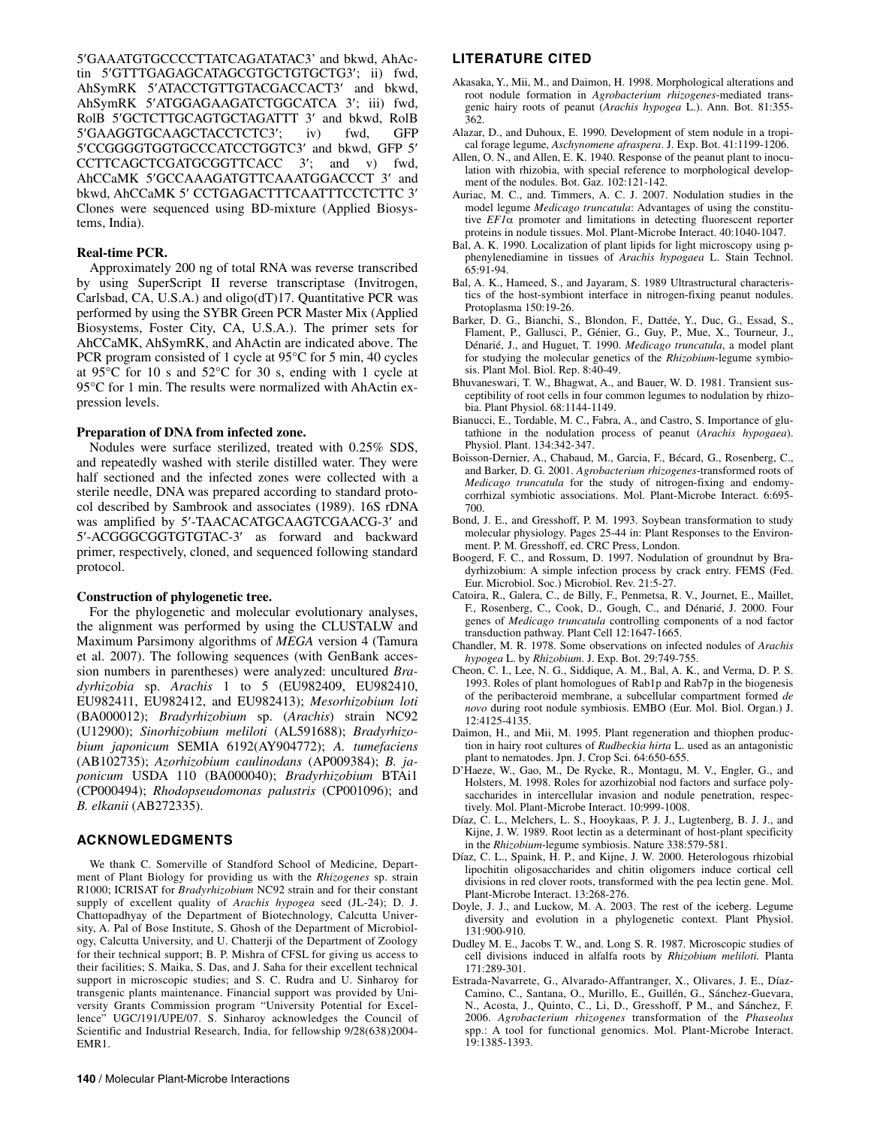5′GAAATGTGCCCCTTATCAGATATAC3' and bkwd, AhActin 5′GTTTGAGAGCATAGCGTGCTGTGCTG3′; ii) fwd, AhSymRK 5′ATACCTGTTGTACGACCACT3′ and bkwd, AhSymRK 5′ATGGAGAAGATCTGGCATCA 3′; iii) fwd, RolB 5′GCTCTTGCAGTGCTAGATTT 3′ and bkwd, RolB 5′GAAGGTGCAAGCTACCTCTC3′; iv) fwd, GFP 5′CCGGGGTGGTGCCCATCCTGGTC3′ and bkwd, GFP 5′ CCTTCAGCTCGATGCGGTTCACC 3'; and v) fwd, AhCCaMK 5′GCCAAAGATGTTCAAATGGACCCT 3′ and bkwd, AhCCaMK 5' CCTGAGACTTTCAATTTCCTCTTC 3' Clones were sequenced using BD-mixture (Applied Biosystems, India).

## **Real-time PCR.**

Approximately 200 ng of total RNA was reverse transcribed by using SuperScript II reverse transcriptase (Invitrogen, Carlsbad, CA, U.S.A.) and oligo(dT)17. Quantitative PCR was performed by using the SYBR Green PCR Master Mix (Applied Biosystems, Foster City, CA, U.S.A.). The primer sets for AhCCaMK, AhSymRK, and AhActin are indicated above. The PCR program consisted of 1 cycle at 95°C for 5 min, 40 cycles at 95°C for 10 s and 52°C for 30 s, ending with 1 cycle at 95°C for 1 min. The results were normalized with AhActin expression levels.

#### **Preparation of DNA from infected zone.**

Nodules were surface sterilized, treated with 0.25% SDS, and repeatedly washed with sterile distilled water. They were half sectioned and the infected zones were collected with a sterile needle, DNA was prepared according to standard protocol described by Sambrook and associates (1989). 16S rDNA was amplified by 5′-TAACACATGCAAGTCGAACG-3′ and 5′-ACGGGCGGTGTGTAC-3′ as forward and backward primer, respectively, cloned, and sequenced following standard protocol.

#### **Construction of phylogenetic tree.**

For the phylogenetic and molecular evolutionary analyses, the alignment was performed by using the CLUSTALW and Maximum Parsimony algorithms of *MEGA* version 4 (Tamura et al. 2007). The following sequences (with GenBank accession numbers in parentheses) were analyzed: uncultured *Bradyrhizobia* sp. *Arachis* 1 to 5 (EU982409, EU982410, EU982411, EU982412, and EU982413); *Mesorhizobium loti* (BA000012); *Bradyrhizobium* sp. (*Arachis*) strain NC92 (U12900); *Sinorhizobium meliloti* (AL591688); *Bradyrhizobium japonicum* SEMIA 6192(AY904772); *A. tumefaciens* (AB102735); *Azorhizobium caulinodans* (AP009384); *B. japonicum* USDA 110 (BA000040); *Bradyrhizobium* BTAi1 (CP000494); *Rhodopseudomonas palustris* (CP001096); and *B. elkanii* (AB272335).

#### **ACKNOWLEDGMENTS**

We thank C. Somerville of Standford School of Medicine, Department of Plant Biology for providing us with the *Rhizogenes* sp. strain R1000; ICRISAT for *Bradyrhizobium* NC92 strain and for their constant supply of excellent quality of *Arachis hypogea* seed (JL-24); D. J. Chattopadhyay of the Department of Biotechnology, Calcutta University, A. Pal of Bose Institute, S. Ghosh of the Department of Microbiology, Calcutta University, and U. Chatterji of the Department of Zoology for their technical support; B. P. Mishra of CFSL for giving us access to their facilities; S. Maika, S. Das, and J. Saha for their excellent technical support in microscopic studies; and S. C. Rudra and U. Sinharoy for transgenic plants maintenance. Financial support was provided by University Grants Commission program "University Potential for Excellence" UGC/191/UPE/07. S. Sinharoy acknowledges the Council of Scientific and Industrial Research, India, for fellowship 9/28(638)2004- EMR1.

# **LITERATURE CITED**

- Akasaka, Y., Mii, M., and Daimon, H. 1998. Morphological alterations and root nodule formation in *Agrobacterium rhizogenes*-mediated transgenic hairy roots of peanut (*Arachis hypogea* L.). Ann. Bot. 81:355- 362.
- Alazar, D., and Duhoux, E. 1990. Development of stem nodule in a tropical forage legume, *Aschynomene afraspera*. J. Exp. Bot. 41:1199-1206.
- Allen, O. N., and Allen, E. K. 1940. Response of the peanut plant to inoculation with rhizobia, with special reference to morphological development of the nodules. Bot. Gaz. 102:121-142.
- Auriac, M. C., and. Timmers, A. C. J. 2007. Nodulation studies in the model legume *Medicago truncatula*: Advantages of using the constitutive *EF1*α promoter and limitations in detecting fluorescent reporter proteins in nodule tissues. Mol. Plant-Microbe Interact. 40:1040-1047.
- Bal, A. K. 1990. Localization of plant lipids for light microscopy using pphenylenediamine in tissues of *Arachis hypogaea* L. Stain Technol. 65:91-94.
- Bal, A. K., Hameed, S., and Jayaram, S. 1989 Ultrastructural characteristics of the host-symbiont interface in nitrogen-fixing peanut nodules. Protoplasma 150:19-26.
- Barker, D. G., Bianchi, S., Blondon, F., Dattée, Y., Duc, G., Essad, S., Flament, P., Gallusci, P., Génier, G., Guy, P., Mue, X., Tourneur, J., Dénarié, J., and Huguet, T. 1990. *Medicago truncatula*, a model plant for studying the molecular genetics of the *Rhizobium*-legume symbiosis. Plant Mol. Biol. Rep. 8:40-49.
- Bhuvaneswari, T. W., Bhagwat, A., and Bauer, W. D. 1981. Transient susceptibility of root cells in four common legumes to nodulation by rhizobia. Plant Physiol. 68:1144-1149.
- Bianucci, E., Tordable, M. C., Fabra, A., and Castro, S. Importance of glutathione in the nodulation process of peanut (*Arachis hypogaea*). Physiol. Plant. 134:342-347.
- Boisson-Dernier, A., Chabaud, M., Garcia, F., Bécard, G., Rosenberg, C., and Barker, D. G. 2001. *Agrobacterium rhizogenes*-transformed roots of *Medicago truncatula* for the study of nitrogen-fixing and endomycorrhizal symbiotic associations. Mol. Plant-Microbe Interact. 6:695- 700.
- Bond, J. E., and Gresshoff, P. M. 1993. Soybean transformation to study molecular physiology. Pages 25-44 in: Plant Responses to the Environment. P. M. Gresshoff, ed. CRC Press, London.
- Boogerd, F. C., and Rossum, D. 1997. Nodulation of groundnut by Bradyrhizobium: A simple infection process by crack entry. FEMS (Fed. Eur. Microbiol. Soc.) Microbiol. Rev. 21:5-27.
- Catoira, R., Galera, C., de Billy, F., Penmetsa, R. V., Journet, E., Maillet, F., Rosenberg, C., Cook, D., Gough, C., and Dénarié, J. 2000. Four genes of *Medicago truncatula* controlling components of a nod factor transduction pathway. Plant Cell 12:1647-1665.
- Chandler, M. R. 1978. Some observations on infected nodules of *Arachis hypogea* L. by *Rhizobium*. J. Exp. Bot. 29:749-755.
- Cheon, C. I., Lee, N. G., Siddique, A. M., Bal, A. K., and Verma, D. P. S. 1993. Roles of plant homologues of Rab1p and Rab7p in the biogenesis of the peribacteroid membrane, a subcellular compartment formed *de novo* during root nodule symbiosis. EMBO (Eur. Mol. Biol. Organ.) J. 12:4125-4135.
- Daimon, H., and Mii, M. 1995. Plant regeneration and thiophen production in hairy root cultures of *Rudbeckia hirta* L. used as an antagonistic plant to nematodes. Jpn. J. Crop Sci. 64:650-655.
- D'Haeze, W., Gao, M., De Rycke, R., Montagu, M. V., Engler, G., and Holsters, M. 1998. Roles for azorhizobial nod factors and surface polysaccharides in intercellular invasion and nodule penetration, respectively. Mol. Plant-Microbe Interact. 10:999-1008.
- Díaz, C. L., Melchers, L. S., Hooykaas, P. J. J., Lugtenberg, B. J. J., and Kijne, J. W. 1989. Root lectin as a determinant of host-plant specificity in the *Rhizobium*-legume symbiosis. Nature 338:579-581.
- Díaz, C. L., Spaink, H. P., and Kijne, J. W. 2000. Heterologous rhizobial lipochitin oligosaccharides and chitin oligomers induce cortical cell divisions in red clover roots, transformed with the pea lectin gene. Mol. Plant-Microbe Interact. 13:268-276.
- Doyle, J. J., and Luckow, M. A. 2003. The rest of the iceberg. Legume diversity and evolution in a phylogenetic context. Plant Physiol. 131:900-910.
- Dudley M. E., Jacobs T. W., and. Long S. R. 1987. Microscopic studies of cell divisions induced in alfalfa roots by *Rhizobium meliloti.* Planta 171:289-301.
- Estrada-Navarrete, G., Alvarado-Affantranger, X., Olivares, J. E., Díaz-Camino, C., Santana, O., Murillo, E., Guillén, G., Sánchez-Guevara, N., Acosta, J., Quinto, C., Li, D., Gresshoff, P M., and Sánchez, F. 2006. *Agrobacterium rhizogenes* transformation of the *Phaseolus* spp.: A tool for functional genomics. Mol. Plant-Microbe Interact. 19:1385-1393.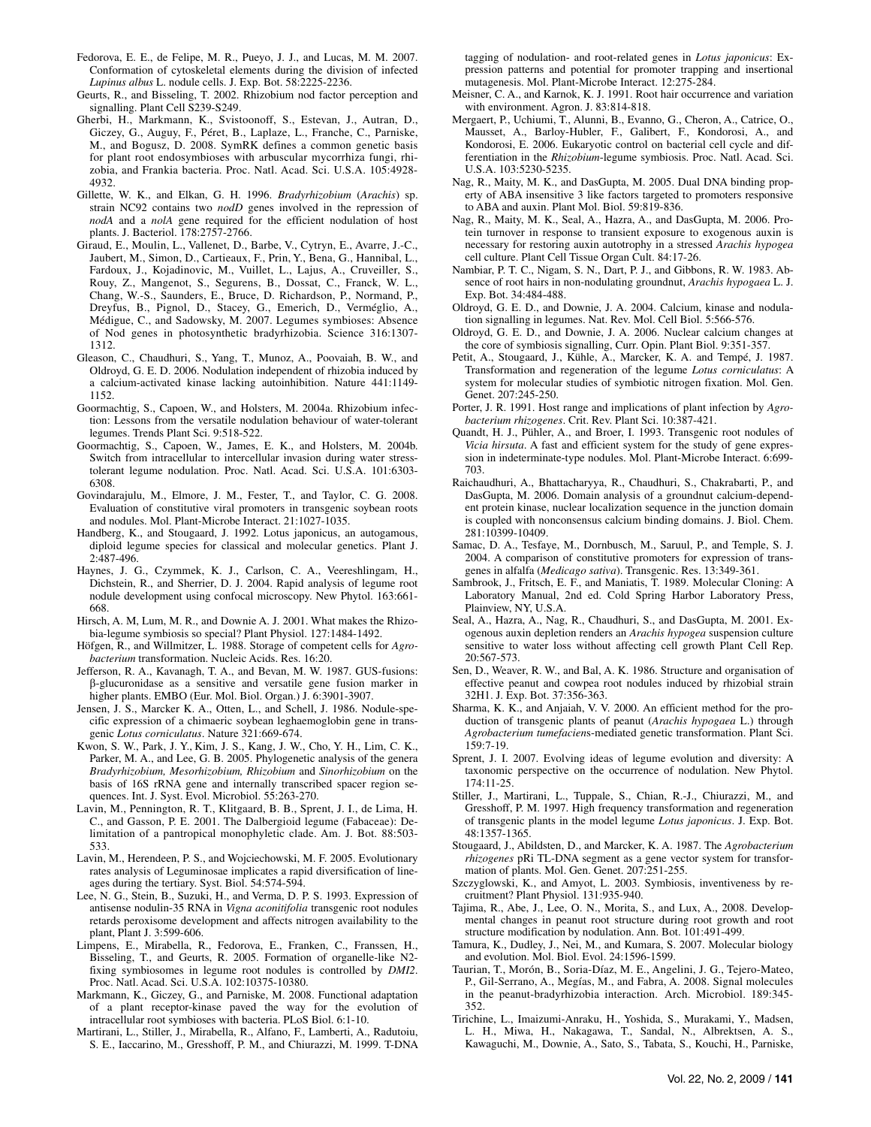- Fedorova, E. E., de Felipe, M. R., Pueyo, J. J., and Lucas, M. M. 2007. Conformation of cytoskeletal elements during the division of infected *Lupinus albus* L. nodule cells. J. Exp. Bot. 58:2225-2236.
- Geurts, R., and Bisseling, T. 2002. Rhizobium nod factor perception and signalling. Plant Cell S239-S249.
- Gherbi, H., Markmann, K., Svistoonoff, S., Estevan, J., Autran, D., Giczey, G., Auguy, F., Péret, B., Laplaze, L., Franche, C., Parniske, M., and Bogusz, D. 2008. SymRK defines a common genetic basis for plant root endosymbioses with arbuscular mycorrhiza fungi, rhizobia, and Frankia bacteria. Proc. Natl. Acad. Sci. U.S.A. 105:4928- 4932.
- Gillette, W. K., and Elkan, G. H. 1996. *Bradyrhizobium* (*Arachis*) sp. strain NC92 contains two *nodD* genes involved in the repression of *nodA* and a *nolA* gene required for the efficient nodulation of host plants. J. Bacteriol. 178:2757-2766.
- Giraud, E., Moulin, L., Vallenet, D., Barbe, V., Cytryn, E., Avarre, J.-C., Jaubert, M., Simon, D., Cartieaux, F., Prin, Y., Bena, G., Hannibal, L., Fardoux, J., Kojadinovic, M., Vuillet, L., Lajus, A., Cruveiller, S., Rouy, Z., Mangenot, S., Segurens, B., Dossat, C., Franck, W. L., Chang, W.-S., Saunders, E., Bruce, D. Richardson, P., Normand, P., Dreyfus, B., Pignol, D., Stacey, G., Emerich, D., Verméglio, A., Médigue, C., and Sadowsky, M. 2007. Legumes symbioses: Absence of Nod genes in photosynthetic bradyrhizobia. Science 316:1307- 1312.
- Gleason, C., Chaudhuri, S., Yang, T., Munoz, A., Poovaiah, B. W., and Oldroyd, G. E. D. 2006. Nodulation independent of rhizobia induced by a calcium-activated kinase lacking autoinhibition. Nature 441:1149- 1152.
- Goormachtig, S., Capoen, W., and Holsters, M. 2004a. Rhizobium infection: Lessons from the versatile nodulation behaviour of water-tolerant legumes. Trends Plant Sci. 9:518-522.
- Goormachtig, S., Capoen, W., James, E. K., and Holsters, M. 2004b. Switch from intracellular to intercellular invasion during water stresstolerant legume nodulation. Proc. Natl. Acad. Sci. U.S.A. 101:6303- 6308.
- Govindarajulu, M., Elmore, J. M., Fester, T., and Taylor, C. G. 2008. Evaluation of constitutive viral promoters in transgenic soybean roots and nodules. Mol. Plant-Microbe Interact. 21:1027-1035.
- Handberg, K., and Stougaard, J. 1992. Lotus japonicus, an autogamous, diploid legume species for classical and molecular genetics. Plant J. 2:487-496.
- Haynes, J. G., Czymmek, K. J., Carlson, C. A., Veereshlingam, H., Dichstein, R., and Sherrier, D. J. 2004. Rapid analysis of legume root nodule development using confocal microscopy. New Phytol. 163:661- 668.
- Hirsch, A. M, Lum, M. R., and Downie A. J. 2001. What makes the Rhizobia-legume symbiosis so special? Plant Physiol. 127:1484-1492.
- Höfgen, R., and Willmitzer, L. 1988. Storage of competent cells for *Agrobacterium* transformation. Nucleic Acids. Res. 16:20.
- Jefferson, R. A., Kavanagh, T. A., and Bevan, M. W. 1987. GUS-fusions: β-glucuronidase as a sensitive and versatile gene fusion marker in higher plants. EMBO (Eur. Mol. Biol. Organ.) J. 6:3901-3907.
- Jensen, J. S., Marcker K. A., Otten, L., and Schell, J. 1986. Nodule-specific expression of a chimaeric soybean leghaemoglobin gene in transgenic *Lotus corniculatus*. Nature 321:669-674.
- Kwon, S. W., Park, J. Y., Kim, J. S., Kang, J. W., Cho, Y. H., Lim, C. K., Parker, M. A., and Lee, G. B. 2005. Phylogenetic analysis of the genera *Bradyrhizobium, Mesorhizobium, Rhizobium* and *Sinorhizobium* on the basis of 16S rRNA gene and internally transcribed spacer region sequences. Int. J. Syst. Evol. Microbiol. 55:263-270.
- Lavin, M., Pennington, R. T., Klitgaard, B. B., Sprent, J. I., de Lima, H. C., and Gasson, P. E. 2001. The Dalbergioid legume (Fabaceae): Delimitation of a pantropical monophyletic clade. Am. J. Bot. 88:503- 533.
- Lavin, M., Herendeen, P. S., and Wojciechowski, M. F. 2005. Evolutionary rates analysis of Leguminosae implicates a rapid diversification of lineages during the tertiary. Syst. Biol. 54:574-594.
- Lee, N. G., Stein, B., Suzuki, H., and Verma, D. P. S. 1993. Expression of antisense nodulin-35 RNA in *Vigna aconitifolia* transgenic root nodules retards peroxisome development and affects nitrogen availability to the plant, Plant J. 3:599-606.
- Limpens, E., Mirabella, R., Fedorova, E., Franken, C., Franssen, H., Bisseling, T., and Geurts, R. 2005. Formation of organelle-like N2 fixing symbiosomes in legume root nodules is controlled by *DMI2*. Proc. Natl. Acad. Sci. U.S.A. 102:10375-10380.
- Markmann, K., Giczey, G., and Parniske, M. 2008. Functional adaptation of a plant receptor-kinase paved the way for the evolution of intracellular root symbioses with bacteria. PLoS Biol. 6:1-10.
- Martirani, L., Stiller, J., Mirabella, R., Alfano, F., Lamberti, A., Radutoiu, S. E., Iaccarino, M., Gresshoff, P. M., and Chiurazzi, M. 1999. T-DNA

tagging of nodulation- and root-related genes in *Lotus japonicus*: Expression patterns and potential for promoter trapping and insertional mutagenesis. Mol. Plant-Microbe Interact. 12:275-284.

- Meisner, C. A., and Karnok, K. J. 1991. Root hair occurrence and variation with environment. Agron. J. 83:814-818.
- Mergaert, P., Uchiumi, T., Alunni, B., Evanno, G., Cheron, A., Catrice, O., Mausset, A., Barloy-Hubler, F., Galibert, F., Kondorosi, A., and Kondorosi, E. 2006. Eukaryotic control on bacterial cell cycle and differentiation in the *Rhizobium*-legume symbiosis. Proc. Natl. Acad. Sci. U.S.A. 103:5230-5235.
- Nag, R., Maity, M. K., and DasGupta, M. 2005. Dual DNA binding property of ABA insensitive 3 like factors targeted to promoters responsive to ABA and auxin. Plant Mol. Biol. 59:819-836.
- Nag, R., Maity, M. K., Seal, A., Hazra, A., and DasGupta, M. 2006. Protein turnover in response to transient exposure to exogenous auxin is necessary for restoring auxin autotrophy in a stressed *Arachis hypogea* cell culture. Plant Cell Tissue Organ Cult. 84:17-26.
- Nambiar, P. T. C., Nigam, S. N., Dart, P. J., and Gibbons, R. W. 1983. Absence of root hairs in non-nodulating groundnut, *Arachis hypogaea* L. J. Exp. Bot. 34:484-488.
- Oldroyd, G. E. D., and Downie, J. A. 2004. Calcium, kinase and nodulation signalling in legumes. Nat. Rev. Mol. Cell Biol. 5:566-576.
- Oldroyd, G. E. D., and Downie, J. A. 2006. Nuclear calcium changes at the core of symbiosis signalling, Curr. Opin. Plant Biol. 9:351-357.
- Petit, A., Stougaard, J., Kühle, A., Marcker, K. A. and Tempé, J. 1987. Transformation and regeneration of the legume *Lotus corniculatus*: A system for molecular studies of symbiotic nitrogen fixation. Mol. Gen. Genet. 207:245-250.
- Porter, J. R. 1991. Host range and implications of plant infection by *Agrobacterium rhizogenes*. Crit. Rev. Plant Sci. 10:387-421.
- Quandt, H. J., Pühler, A., and Broer, I. 1993. Transgenic root nodules of *Vicia hirsuta*. A fast and efficient system for the study of gene expression in indeterminate-type nodules. Mol. Plant-Microbe Interact. 6:699- 703.
- Raichaudhuri, A., Bhattacharyya, R., Chaudhuri, S., Chakrabarti, P., and DasGupta, M. 2006. Domain analysis of a groundnut calcium-dependent protein kinase, nuclear localization sequence in the junction domain is coupled with nonconsensus calcium binding domains. J. Biol. Chem. 281:10399-10409.
- Samac, D. A., Tesfaye, M., Dornbusch, M., Saruul, P., and Temple, S. J. 2004. A comparison of constitutive promoters for expression of transgenes in alfalfa (*Medicago sativa*). Transgenic. Res. 13:349-361.
- Sambrook, J., Fritsch, E. F., and Maniatis, T. 1989. Molecular Cloning: A Laboratory Manual, 2nd ed. Cold Spring Harbor Laboratory Press, Plainview, NY, U.S.A.
- Seal, A., Hazra, A., Nag, R., Chaudhuri, S., and DasGupta, M. 2001. Exogenous auxin depletion renders an *Arachis hypogea* suspension culture sensitive to water loss without affecting cell growth Plant Cell Rep. 20:567-573.
- Sen, D., Weaver, R. W., and Bal, A. K. 1986. Structure and organisation of effective peanut and cowpea root nodules induced by rhizobial strain 32H1. J. Exp. Bot. 37:356-363.
- Sharma, K. K., and Anjaiah, V. V. 2000. An efficient method for the production of transgenic plants of peanut (*Arachis hypogaea* L.) through *Agrobacterium tumefacien*s-mediated genetic transformation. Plant Sci. 159:7-19.
- Sprent, J. I. 2007. Evolving ideas of legume evolution and diversity: A taxonomic perspective on the occurrence of nodulation. New Phytol. 174:11-25.
- Stiller, J., Martirani, L., Tuppale, S., Chian, R.-J., Chiurazzi, M., and Gresshoff, P. M. 1997. High frequency transformation and regeneration of transgenic plants in the model legume *Lotus japonicus*. J. Exp. Bot. 48:1357-1365.
- Stougaard, J., Abildsten, D., and Marcker, K. A. 1987. The *Agrobacterium rhizogenes* pRi TL-DNA segment as a gene vector system for transformation of plants. Mol. Gen. Genet. 207:251-255.
- Szczyglowski, K., and Amyot, L. 2003. Symbiosis, inventiveness by recruitment? Plant Physiol. 131:935-940.
- Tajima, R., Abe, J., Lee, O. N., Morita, S., and Lux, A., 2008. Developmental changes in peanut root structure during root growth and root structure modification by nodulation. Ann. Bot. 101:491-499.
- Tamura, K., Dudley, J., Nei, M., and Kumara, S. 2007. Molecular biology and evolution. Mol. Biol. Evol. 24:1596-1599.
- Taurian, T., Morón, B., Soria-Díaz, M. E., Angelini, J. G., Tejero-Mateo, P., Gil-Serrano, A., Megías, M., and Fabra, A. 2008. Signal molecules in the peanut-bradyrhizobia interaction. Arch. Microbiol. 189:345- 352.
- Tirichine, L., Imaizumi-Anraku, H., Yoshida, S., Murakami, Y., Madsen, L. H., Miwa, H., Nakagawa, T., Sandal, N., Albrektsen, A. S., Kawaguchi, M., Downie, A., Sato, S., Tabata, S., Kouchi, H., Parniske,